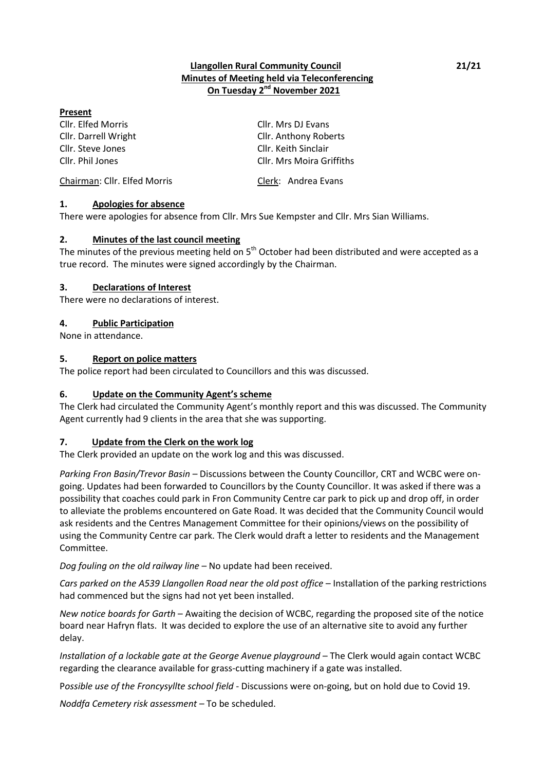## **Llangollen Rural Community Council 21/21 Minutes of Meeting held via Teleconferencing On Tuesday 2 nd November 2021**

#### **Present**

Cllr. Elfed Morris Cllr. Mrs DJ Evans Cllr. Steve Jones Cllr. Keith Sinclair

Cllr. Darrell Wright Cllr. Anthony Roberts Cllr. Phil Jones Cllr. Mrs Moira Griffiths

# Chairman: Cllr. Elfed Morris Clerk: Andrea Evans

### **1. Apologies for absence**

There were apologies for absence from Cllr. Mrs Sue Kempster and Cllr. Mrs Sian Williams.

### **2. Minutes of the last council meeting**

The minutes of the previous meeting held on 5<sup>th</sup> October had been distributed and were accepted as a true record. The minutes were signed accordingly by the Chairman.

### **3. Declarations of Interest**

There were no declarations of interest.

### **4. Public Participation**

None in attendance.

### **5. Report on police matters**

The police report had been circulated to Councillors and this was discussed.

## **6. Update on the Community Agent's scheme**

The Clerk had circulated the Community Agent's monthly report and this was discussed. The Community Agent currently had 9 clients in the area that she was supporting.

## **7. Update from the Clerk on the work log**

The Clerk provided an update on the work log and this was discussed.

*Parking Fron Basin/Trevor Basin* – Discussions between the County Councillor, CRT and WCBC were ongoing. Updates had been forwarded to Councillors by the County Councillor. It was asked if there was a possibility that coaches could park in Fron Community Centre car park to pick up and drop off, in order to alleviate the problems encountered on Gate Road. It was decided that the Community Council would ask residents and the Centres Management Committee for their opinions/views on the possibility of using the Community Centre car park. The Clerk would draft a letter to residents and the Management Committee.

*Dog fouling on the old railway line* – No update had been received.

*Cars parked on the A539 Llangollen Road near the old post office* – Installation of the parking restrictions had commenced but the signs had not yet been installed.

*New notice boards for Garth* – Awaiting the decision of WCBC, regarding the proposed site of the notice board near Hafryn flats. It was decided to explore the use of an alternative site to avoid any further delay.

*Installation of a lockable gate at the George Avenue playground* – The Clerk would again contact WCBC regarding the clearance available for grass-cutting machinery if a gate was installed.

P*ossible use of the Froncysyllte school field* - Discussions were on-going, but on hold due to Covid 19.

*Noddfa Cemetery risk assessment –* To be scheduled.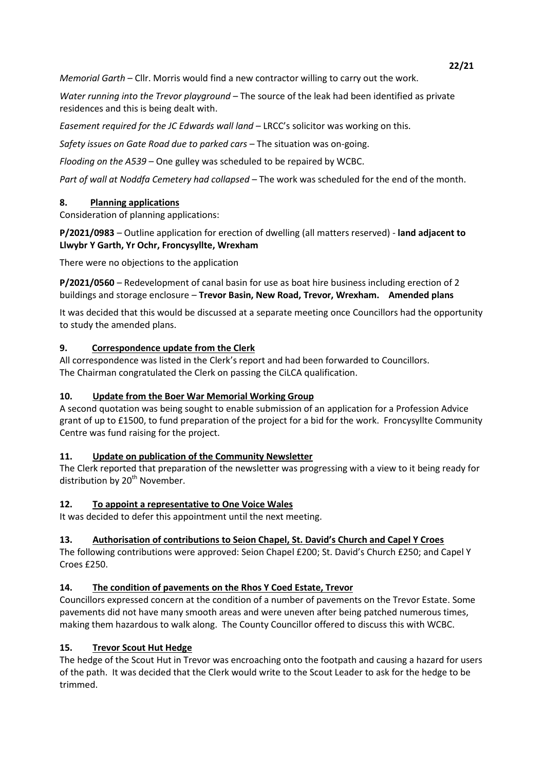*Memorial Garth* – Cllr. Morris would find a new contractor willing to carry out the work.

*Water running into the Trevor playground* – The source of the leak had been identified as private residences and this is being dealt with.

*Easement required for the JC Edwards wall land* – LRCC's solicitor was working on this.

*Safety issues on Gate Road due to parked cars* – The situation was on-going.

*Flooding on the A539* – One gulley was scheduled to be repaired by WCBC.

*Part of wall at Noddfa Cemetery had collapsed* – The work was scheduled for the end of the month.

# **8. Planning applications**

Consideration of planning applications:

**P/2021/0983** – Outline application for erection of dwelling (all matters reserved) - **land adjacent to Llwybr Y Garth, Yr Ochr, Froncysyllte, Wrexham** 

There were no objections to the application

**P/2021/0560** – Redevelopment of canal basin for use as boat hire business including erection of 2 buildings and storage enclosure – **Trevor Basin, New Road, Trevor, Wrexham. Amended plans**

It was decided that this would be discussed at a separate meeting once Councillors had the opportunity to study the amended plans.

# **9. Correspondence update from the Clerk**

All correspondence was listed in the Clerk's report and had been forwarded to Councillors. The Chairman congratulated the Clerk on passing the CiLCA qualification.

# **10. Update from the Boer War Memorial Working Group**

A second quotation was being sought to enable submission of an application for a Profession Advice grant of up to £1500, to fund preparation of the project for a bid for the work. Froncysyllte Community Centre was fund raising for the project.

# **11. Update on publication of the Community Newsletter**

The Clerk reported that preparation of the newsletter was progressing with a view to it being ready for distribution by 20<sup>th</sup> November.

# **12. To appoint a representative to One Voice Wales**

It was decided to defer this appointment until the next meeting.

## **13. Authorisation of contributions to Seion Chapel, St. David's Church and Capel Y Croes**

The following contributions were approved: Seion Chapel £200; St. David's Church £250; and Capel Y Croes £250.

# **14. The condition of pavements on the Rhos Y Coed Estate, Trevor**

Councillors expressed concern at the condition of a number of pavements on the Trevor Estate. Some pavements did not have many smooth areas and were uneven after being patched numerous times, making them hazardous to walk along. The County Councillor offered to discuss this with WCBC.

# **15. Trevor Scout Hut Hedge**

The hedge of the Scout Hut in Trevor was encroaching onto the footpath and causing a hazard for users of the path. It was decided that the Clerk would write to the Scout Leader to ask for the hedge to be trimmed.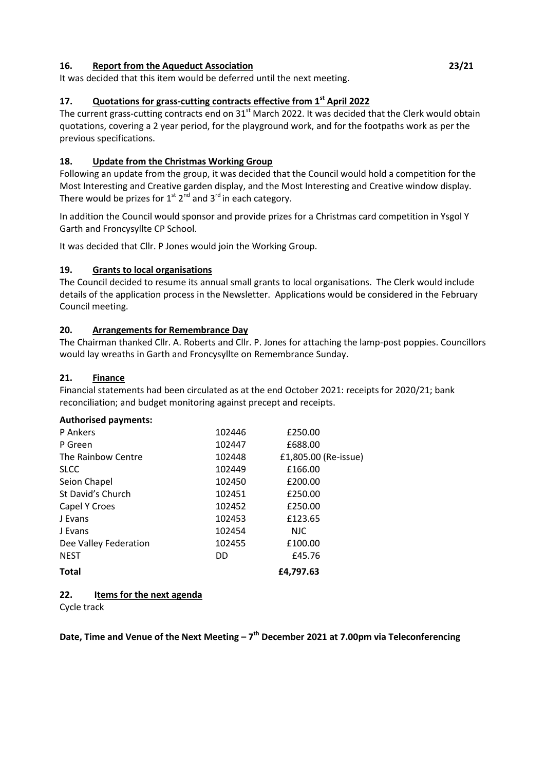### **16. Report from the Aqueduct Association 23/21**

It was decided that this item would be deferred until the next meeting.

# **17. Quotations for grass-cutting contracts effective from 1st April 2022**

The current grass-cutting contracts end on 31<sup>st</sup> March 2022. It was decided that the Clerk would obtain quotations, covering a 2 year period, for the playground work, and for the footpaths work as per the previous specifications.

# **18. Update from the Christmas Working Group**

Following an update from the group, it was decided that the Council would hold a competition for the Most Interesting and Creative garden display, and the Most Interesting and Creative window display. There would be prizes for  $1^{\text{st}} 2^{\text{nd}}$  and  $3^{\text{rd}}$  in each category.

In addition the Council would sponsor and provide prizes for a Christmas card competition in Ysgol Y Garth and Froncysyllte CP School.

It was decided that Cllr. P Jones would join the Working Group.

# **19. Grants to local organisations**

The Council decided to resume its annual small grants to local organisations. The Clerk would include details of the application process in the Newsletter. Applications would be considered in the February Council meeting.

# **20. Arrangements for Remembrance Day**

The Chairman thanked Cllr. A. Roberts and Cllr. P. Jones for attaching the lamp-post poppies. Councillors would lay wreaths in Garth and Froncysyllte on Remembrance Sunday.

# **21. Finance**

Financial statements had been circulated as at the end October 2021: receipts for 2020/21; bank reconciliation; and budget monitoring against precept and receipts.

## **Authorised payments:**

| P Ankers              | 102446 | £250.00              |
|-----------------------|--------|----------------------|
| P Green               | 102447 | £688.00              |
| The Rainbow Centre    | 102448 | £1,805.00 (Re-issue) |
| <b>SLCC</b>           | 102449 | £166.00              |
| Seion Chapel          | 102450 | £200.00              |
| St David's Church     | 102451 | £250.00              |
| Capel Y Croes         | 102452 | £250.00              |
| J Evans               | 102453 | £123.65              |
| J Evans               | 102454 | <b>NJC</b>           |
| Dee Valley Federation | 102455 | £100.00              |
| <b>NEST</b>           | DD     | £45.76               |
| <b>Total</b>          |        | £4,797.63            |
|                       |        |                      |

**22. Items for the next agenda**

Cycle track

**Date, Time and Venue of the Next Meeting – 7 th December 2021 at 7.00pm via Teleconferencing**